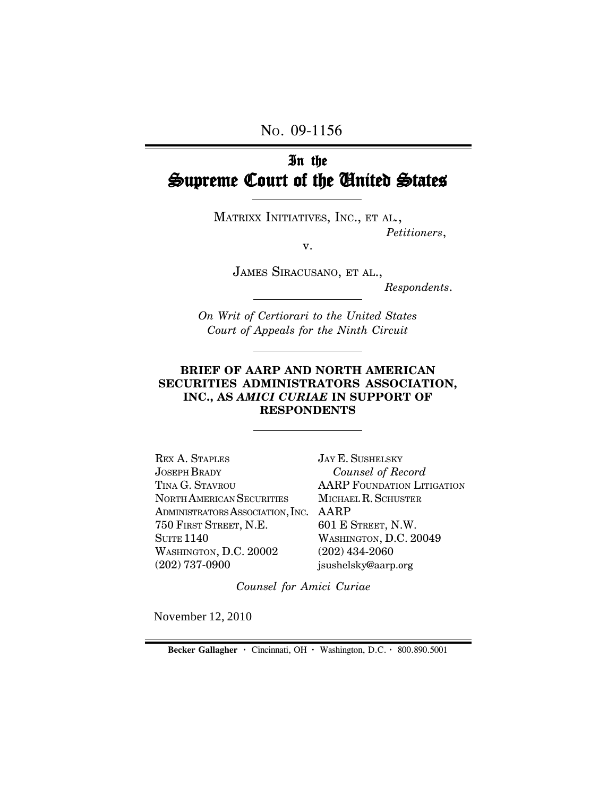NO. 09-1156

# In the Supreme Court of the United States

MATRIXX INITIATIVES, INC., ET AL*.*, *Petitioners*,

v.

JAMES SIRACUSANO, ET AL.,

*Respondents*.

*On Writ of Certiorari to the United States Court of Appeals for the Ninth Circuit*

#### **BRIEF OF AARP AND NORTH AMERICAN SECURITIES ADMINISTRATORS ASSOCIATION, INC., AS** *AMICI CURIAE* **IN SUPPORT OF RESPONDENTS**

ADMINISTRATORS ASSOCIATION, INC. AARP REX A. STAPLES JOSEPH BRADY TINA G. STAVROU NORTH AMERICAN SECURITIES 750 FIRST STREET, N.E. **SUITE 1140** WASHINGTON, D.C. 20002 (202) 737-0900

JAY E. SUSHELSKY  *Counsel of Record* AARP FOUNDATION LITIGATION MICHAEL R. SCHUSTER 601 E STREET, N.W. WASHINGTON, D.C. 20049 (202) 434-2060 jsushelsky@aarp.org

*Counsel for Amici Curiae*

November 12, 2010

**Becker Gallagher ·** Cincinnati, OH **·** Washington, D.C. **·** 800.890.5001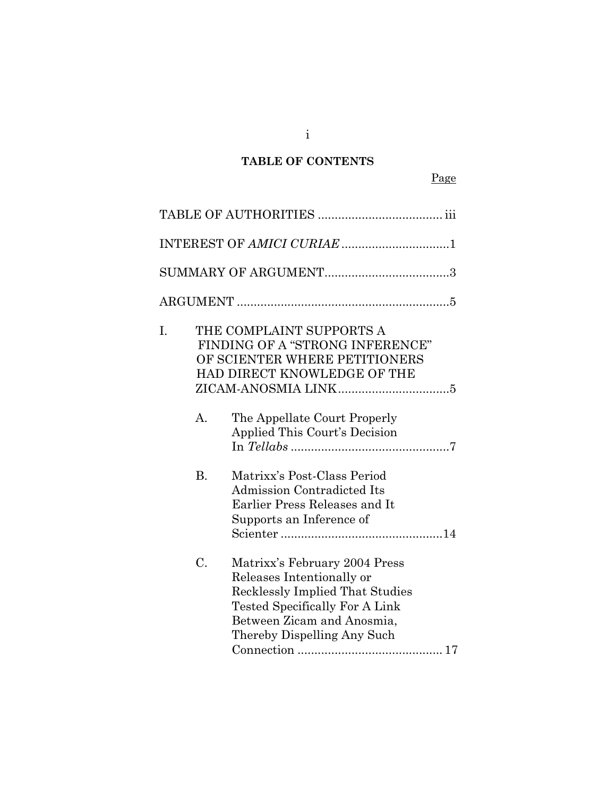# **TABLE OF CONTENTS**

|    |           | INTEREST OF AMICI CURIAE 1                                                                                                                                                                                 |
|----|-----------|------------------------------------------------------------------------------------------------------------------------------------------------------------------------------------------------------------|
|    |           |                                                                                                                                                                                                            |
|    |           |                                                                                                                                                                                                            |
| I. |           | THE COMPLAINT SUPPORTS A<br>FINDING OF A "STRONG INFERENCE"<br>OF SCIENTER WHERE PETITIONERS<br>HAD DIRECT KNOWLEDGE OF THE                                                                                |
|    | А.        | The Appellate Court Properly<br>Applied This Court's Decision                                                                                                                                              |
|    | <b>B.</b> | Matrixx's Post-Class Period<br><b>Admission Contradicted Its</b><br>Earlier Press Releases and It<br>Supports an Inference of                                                                              |
|    | C.        | Matrixx's February 2004 Press<br>Releases Intentionally or<br><b>Recklessly Implied That Studies</b><br><b>Tested Specifically For A Link</b><br>Between Zicam and Anosmia,<br>Thereby Dispelling Any Such |

i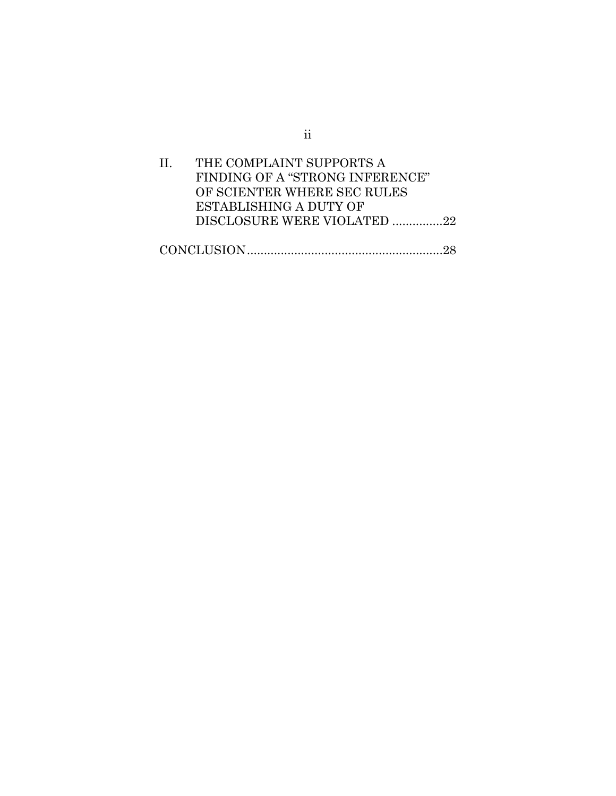| $\mathbf{H}$ | THE COMPLAINT SUPPORTS A        |  |
|--------------|---------------------------------|--|
|              | FINDING OF A "STRONG INFERENCE" |  |
|              | OF SCIENTER WHERE SEC RULES     |  |
|              | ESTABLISHING A DUTY OF          |  |
|              | DISCLOSURE WERE VIOLATED 22     |  |
|              |                                 |  |
|              |                                 |  |

ii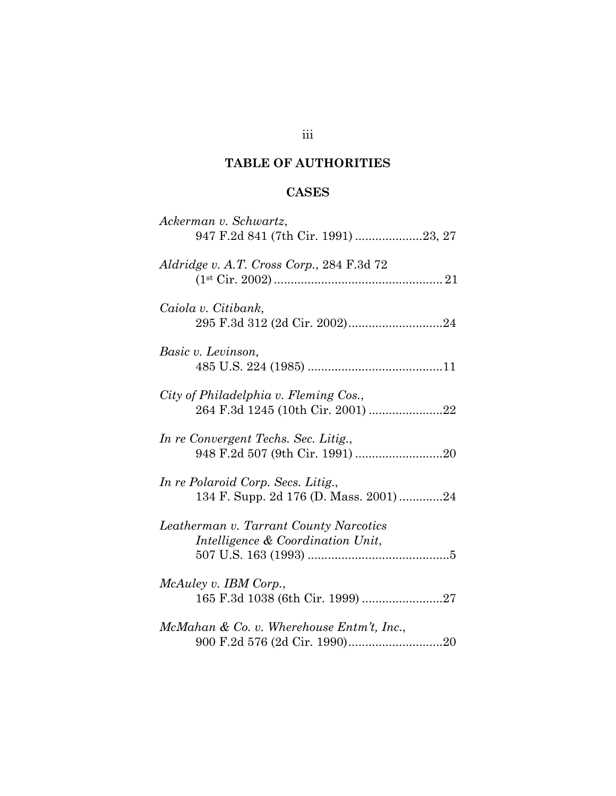# **TABLE OF AUTHORITIES**

# **CASES**

| Ackerman v. Schwartz,<br>947 F.2d 841 (7th Cir. 1991) 23, 27                 |
|------------------------------------------------------------------------------|
| Aldridge v. A.T. Cross Corp., 284 F.3d 72                                    |
| Caiola v. Citibank,                                                          |
| Basic v. Levinson,                                                           |
| City of Philadelphia v. Fleming Cos.,<br>264 F.3d 1245 (10th Cir. 2001) 22   |
| In re Convergent Techs. Sec. Litig.,                                         |
| In re Polaroid Corp. Secs. Litig.,<br>134 F. Supp. 2d 176 (D. Mass. 2001) 24 |
| Leatherman v. Tarrant County Narcotics<br>Intelligence & Coordination Unit,  |
| McAuley v. IBM Corp.,                                                        |
| McMahan & Co. v. Wherehouse $Entm't$ , Inc.,                                 |

# iii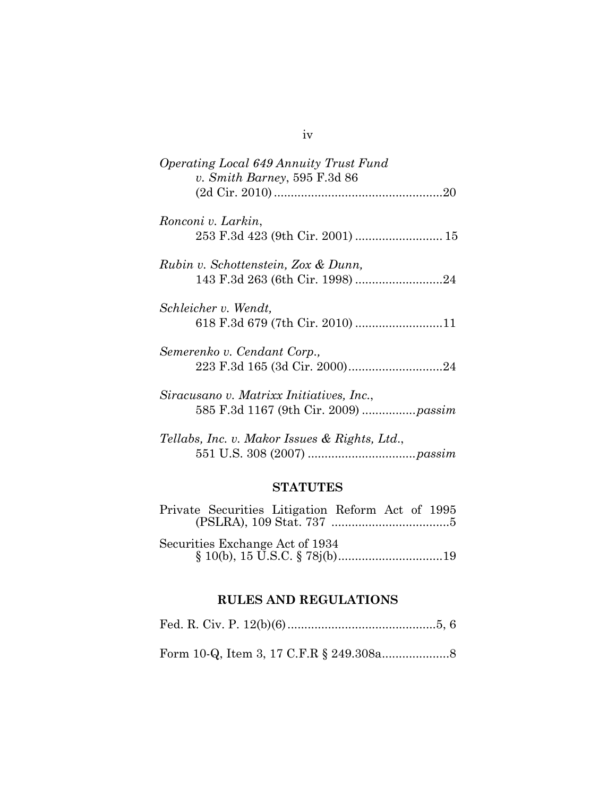| <i>Operating Local 649 Annuity Trust Fund</i> |
|-----------------------------------------------|
| v. Smith Barney, 595 F.3d 86                  |
|                                               |
|                                               |
| Ronconi v. Larkin,                            |
|                                               |
| Rubin v. Schottenstein, Zox & Dunn,           |
|                                               |
| 143 F.3d 263 (6th Cir. 1998) 24               |
| Schleicher v. Wendt,                          |
|                                               |
|                                               |
| Semerenko v. Cendant Corp.,                   |
|                                               |
|                                               |
| Siracusano v. Matrixx Initiatives, Inc.,      |
|                                               |
|                                               |
| Tellabs, Inc. v. Makor Issues & Rights, Ltd., |
|                                               |
|                                               |

# **STATUTES**

|                                 | Private Securities Litigation Reform Act of 1995 |  |  |  |  |
|---------------------------------|--------------------------------------------------|--|--|--|--|
|                                 |                                                  |  |  |  |  |
|                                 |                                                  |  |  |  |  |
| Securities Exchange Act of 1934 |                                                  |  |  |  |  |

§ 10(b), 15 U.S.C. § 78j(b) ............................... 19

# **RULES AND REGULATIONS**

|--|--|--|--|

Form 10-Q, Item 3, 17 C.F.R § 249.308a .................... 8

# iv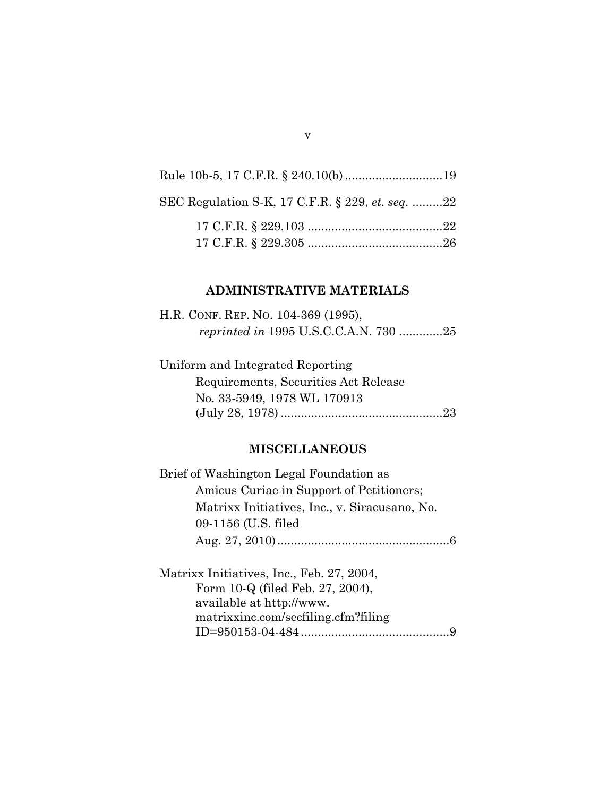# Rule 10b-5, 17 C.F.R. § 240.10(b) ............................. 19 SEC Regulation S-K, 17 C.F.R. § 229, *et. seq.* ......... 22 17 C.F.R. § 229.103 ........................................ 22 17 C.F.R. § 229.305 ........................................ 26

#### **ADMINISTRATIVE MATERIALS**

| H.R. CONF. REP. NO. 104-369 (1995), |  |
|-------------------------------------|--|
|                                     |  |

Uniform and Integrated Reporting Requirements, Securities Act Release No. 33-5949, 1978 WL 170913 (July 28, 1978) ................................................ 23

#### **MISCELLANEOUS**

Brief of Washington Legal Foundation as Amicus Curiae in Support of Petitioners; Matrixx Initiatives, Inc., v. Siracusano, No. 09-1156 (U.S. filed Aug. 27, 2010) ................................................... 6

Matrixx Initiatives, Inc., Feb. 27, 2004, Form 10-Q (filed Feb. 27, 2004), available at http://www. matrixxinc.com/secfiling.cfm?filing ID=950153-04-484 ............................................ 9

v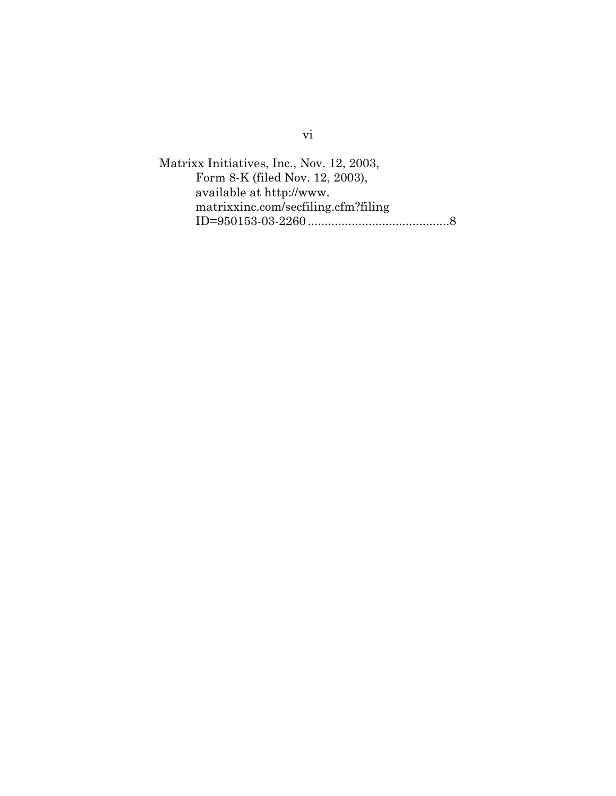Matrixx Initiatives, Inc., Nov. 12, 2003, Form 8-K (filed Nov. 12, 2003), available at http://www. matrixxinc.com/secfiling.cfm?filing ID=950153-03-2260 .......................................... 8

vi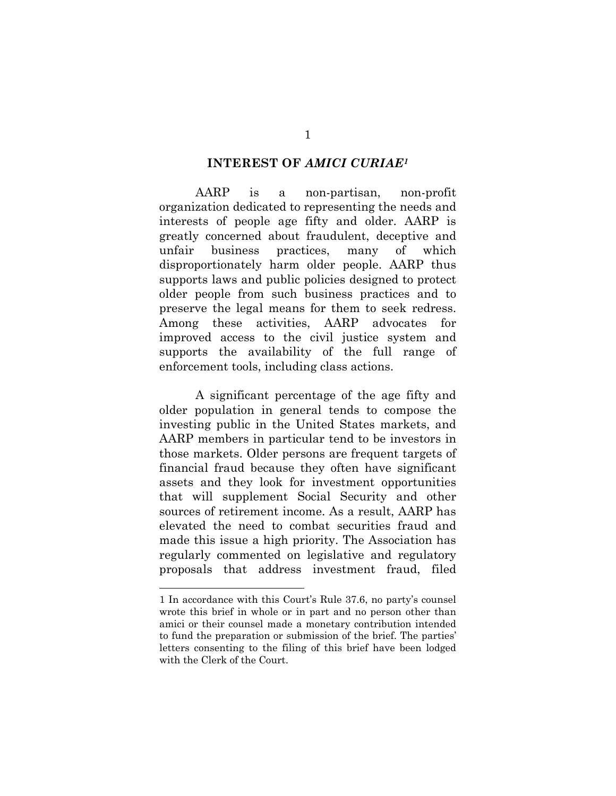#### **INTEREST OF** *AMICI CURIAE1*

AARP is a non-partisan, non-profit organization dedicated to representing the needs and interests of people age fifty and older. AARP is greatly concerned about fraudulent, deceptive and unfair business practices, many of which disproportionately harm older people. AARP thus supports laws and public policies designed to protect older people from such business practices and to preserve the legal means for them to seek redress. Among these activities, AARP advocates for improved access to the civil justice system and supports the availability of the full range of enforcement tools, including class actions.

A significant percentage of the age fifty and older population in general tends to compose the investing public in the United States markets, and AARP members in particular tend to be investors in those markets. Older persons are frequent targets of financial fraud because they often have significant assets and they look for investment opportunities that will supplement Social Security and other sources of retirement income. As a result, AARP has elevated the need to combat securities fraud and made this issue a high priority. The Association has regularly commented on legislative and regulatory proposals that address investment fraud, filed

 $\overline{a}$ 

<sup>1</sup> In accordance with this Court's Rule 37.6, no party's counsel wrote this brief in whole or in part and no person other than amici or their counsel made a monetary contribution intended to fund the preparation or submission of the brief. The parties' letters consenting to the filing of this brief have been lodged with the Clerk of the Court.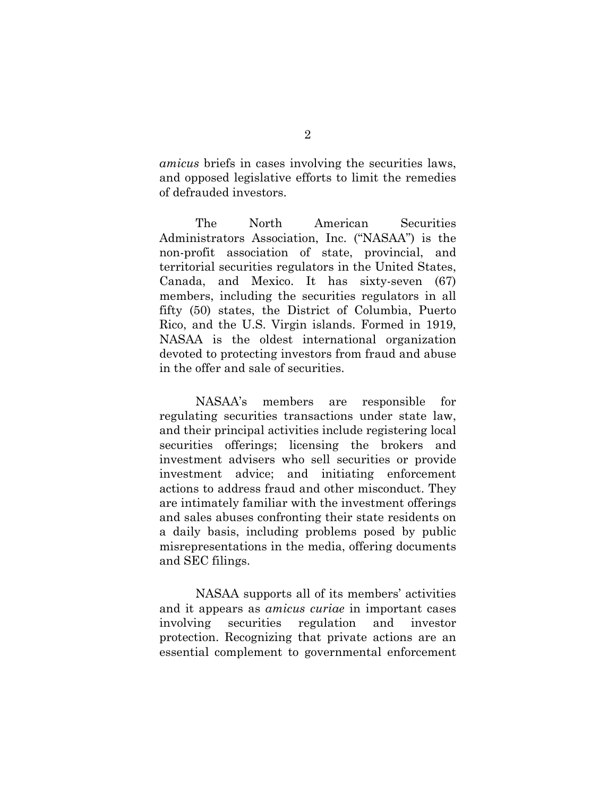*amicus* briefs in cases involving the securities laws, and opposed legislative efforts to limit the remedies of defrauded investors.

The North American Securities Administrators Association, Inc. ("NASAA") is the non-profit association of state, provincial, and territorial securities regulators in the United States, Canada, and Mexico. It has sixty-seven (67) members, including the securities regulators in all fifty (50) states, the District of Columbia, Puerto Rico, and the U.S. Virgin islands. Formed in 1919, NASAA is the oldest international organization devoted to protecting investors from fraud and abuse in the offer and sale of securities.

NASAA's members are responsible for regulating securities transactions under state law, and their principal activities include registering local securities offerings; licensing the brokers and investment advisers who sell securities or provide investment advice; and initiating enforcement actions to address fraud and other misconduct. They are intimately familiar with the investment offerings and sales abuses confronting their state residents on a daily basis, including problems posed by public misrepresentations in the media, offering documents and SEC filings.

NASAA supports all of its members' activities and it appears as *amicus curiae* in important cases involving securities regulation and investor protection. Recognizing that private actions are an essential complement to governmental enforcement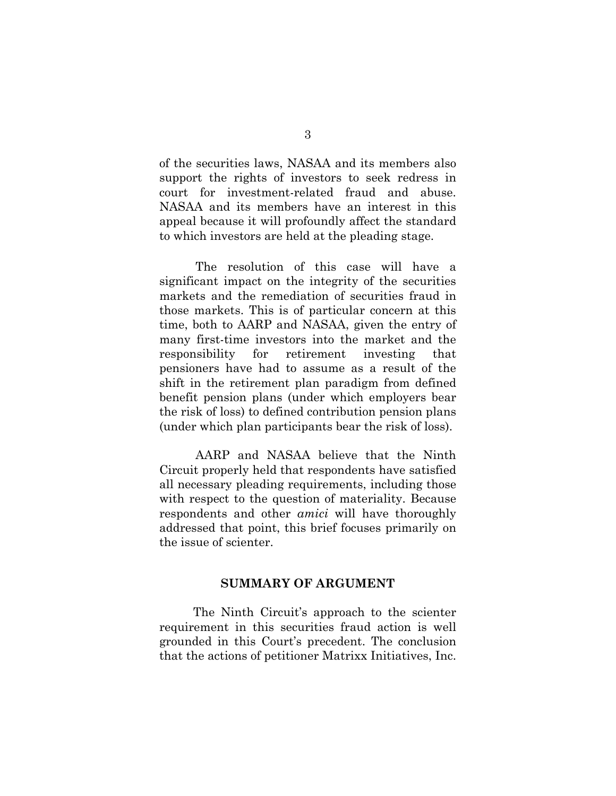of the securities laws, NASAA and its members also support the rights of investors to seek redress in court for investment-related fraud and abuse. NASAA and its members have an interest in this appeal because it will profoundly affect the standard to which investors are held at the pleading stage.

The resolution of this case will have a significant impact on the integrity of the securities markets and the remediation of securities fraud in those markets. This is of particular concern at this time, both to AARP and NASAA, given the entry of many first-time investors into the market and the responsibility for retirement investing that pensioners have had to assume as a result of the shift in the retirement plan paradigm from defined benefit pension plans (under which employers bear the risk of loss) to defined contribution pension plans (under which plan participants bear the risk of loss).

AARP and NASAA believe that the Ninth Circuit properly held that respondents have satisfied all necessary pleading requirements, including those with respect to the question of materiality. Because respondents and other *amici* will have thoroughly addressed that point, this brief focuses primarily on the issue of scienter.

#### **SUMMARY OF ARGUMENT**

The Ninth Circuit's approach to the scienter requirement in this securities fraud action is well grounded in this Court's precedent. The conclusion that the actions of petitioner Matrixx Initiatives, Inc.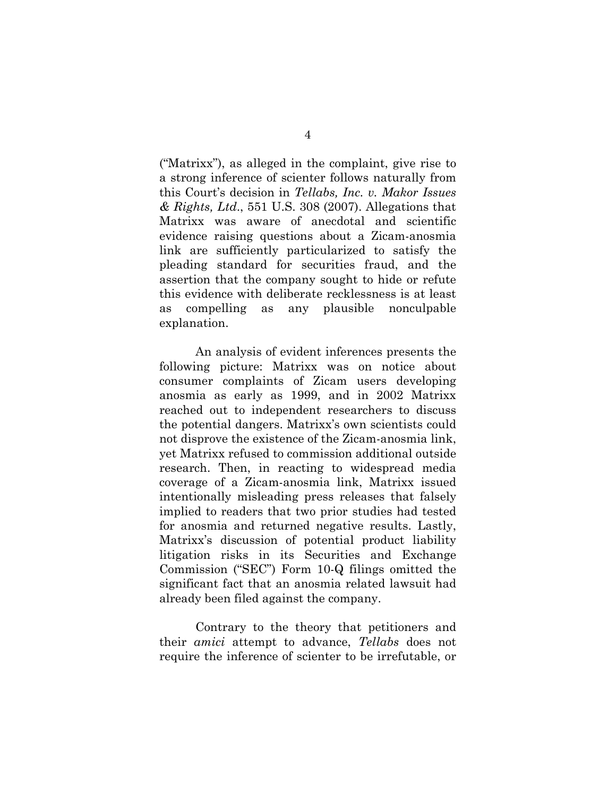("Matrixx"), as alleged in the complaint, give rise to a strong inference of scienter follows naturally from this Court's decision in *Tellabs, Inc. v. Makor Issues & Rights, Ltd*., 551 U.S. 308 (2007). Allegations that Matrixx was aware of anecdotal and scientific evidence raising questions about a Zicam-anosmia link are sufficiently particularized to satisfy the pleading standard for securities fraud, and the assertion that the company sought to hide or refute this evidence with deliberate recklessness is at least as compelling as any plausible nonculpable explanation.

 An analysis of evident inferences presents the following picture: Matrixx was on notice about consumer complaints of Zicam users developing anosmia as early as 1999, and in 2002 Matrixx reached out to independent researchers to discuss the potential dangers. Matrixx's own scientists could not disprove the existence of the Zicam-anosmia link, yet Matrixx refused to commission additional outside research. Then, in reacting to widespread media coverage of a Zicam-anosmia link, Matrixx issued intentionally misleading press releases that falsely implied to readers that two prior studies had tested for anosmia and returned negative results. Lastly, Matrixx's discussion of potential product liability litigation risks in its Securities and Exchange Commission ("SEC") Form 10-Q filings omitted the significant fact that an anosmia related lawsuit had already been filed against the company.

Contrary to the theory that petitioners and their *amici* attempt to advance, *Tellabs* does not require the inference of scienter to be irrefutable, or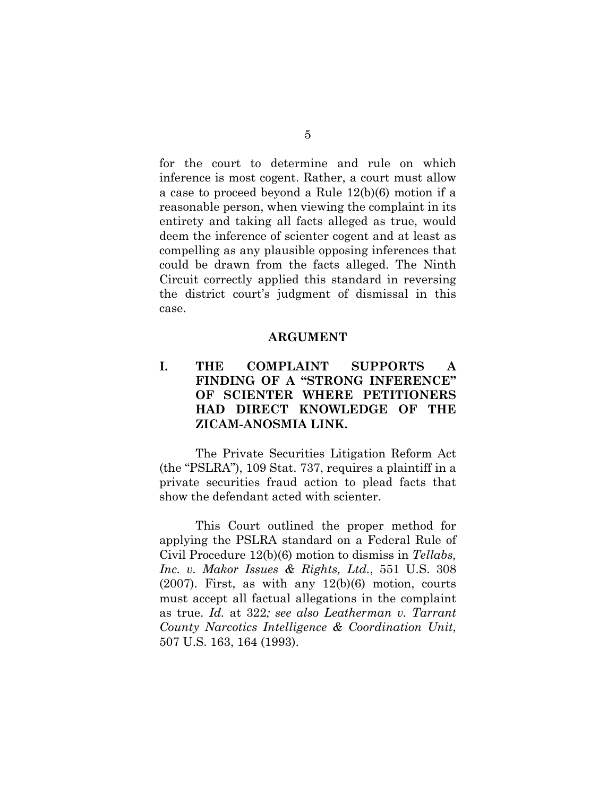for the court to determine and rule on which inference is most cogent. Rather, a court must allow a case to proceed beyond a Rule 12(b)(6) motion if a reasonable person, when viewing the complaint in its entirety and taking all facts alleged as true, would deem the inference of scienter cogent and at least as compelling as any plausible opposing inferences that could be drawn from the facts alleged. The Ninth Circuit correctly applied this standard in reversing the district court's judgment of dismissal in this case.

#### **ARGUMENT**

# **I. THE COMPLAINT SUPPORTS A FINDING OF A "STRONG INFERENCE" OF SCIENTER WHERE PETITIONERS HAD DIRECT KNOWLEDGE OF THE ZICAM-ANOSMIA LINK.**

The Private Securities Litigation Reform Act (the "PSLRA"), 109 Stat. 737, requires a plaintiff in a private securities fraud action to plead facts that show the defendant acted with scienter.

This Court outlined the proper method for applying the PSLRA standard on a Federal Rule of Civil Procedure 12(b)(6) motion to dismiss in *Tellabs, Inc. v. Makor Issues & Rights, Ltd.*, 551 U.S. 308  $(2007)$ . First, as with any  $12(b)(6)$  motion, courts must accept all factual allegations in the complaint as true. *Id.* at 322*; see also Leatherman v. Tarrant County Narcotics Intelligence & Coordination Unit*, 507 U.S. 163, 164 (1993).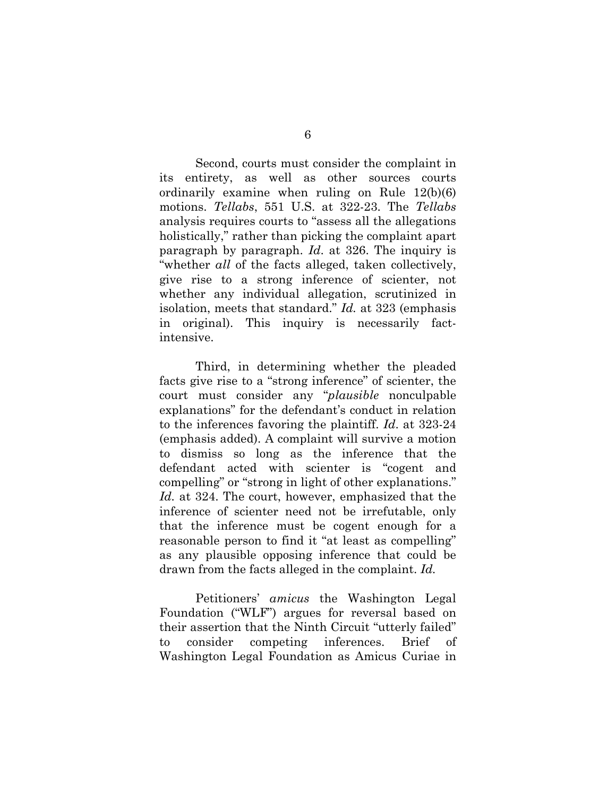Second, courts must consider the complaint in its entirety, as well as other sources courts ordinarily examine when ruling on Rule 12(b)(6) motions. *Tellabs*, 551 U.S. at 322-23. The *Tellabs* analysis requires courts to "assess all the allegations holistically," rather than picking the complaint apart paragraph by paragraph. *Id*. at 326. The inquiry is "whether *all* of the facts alleged, taken collectively, give rise to a strong inference of scienter, not whether any individual allegation, scrutinized in isolation, meets that standard." *Id.* at 323 (emphasis in original). This inquiry is necessarily factintensive.

Third, in determining whether the pleaded facts give rise to a "strong inference" of scienter, the court must consider any "*plausible* nonculpable explanations" for the defendant's conduct in relation to the inferences favoring the plaintiff. *Id*. at 323-24 (emphasis added). A complaint will survive a motion to dismiss so long as the inference that the defendant acted with scienter is "cogent and compelling" or "strong in light of other explanations." *Id.* at 324. The court, however, emphasized that the inference of scienter need not be irrefutable, only that the inference must be cogent enough for a reasonable person to find it "at least as compelling" as any plausible opposing inference that could be drawn from the facts alleged in the complaint. *Id.*

Petitioners' *amicus* the Washington Legal Foundation ("WLF") argues for reversal based on their assertion that the Ninth Circuit "utterly failed" to consider competing inferences. Brief of Washington Legal Foundation as Amicus Curiae in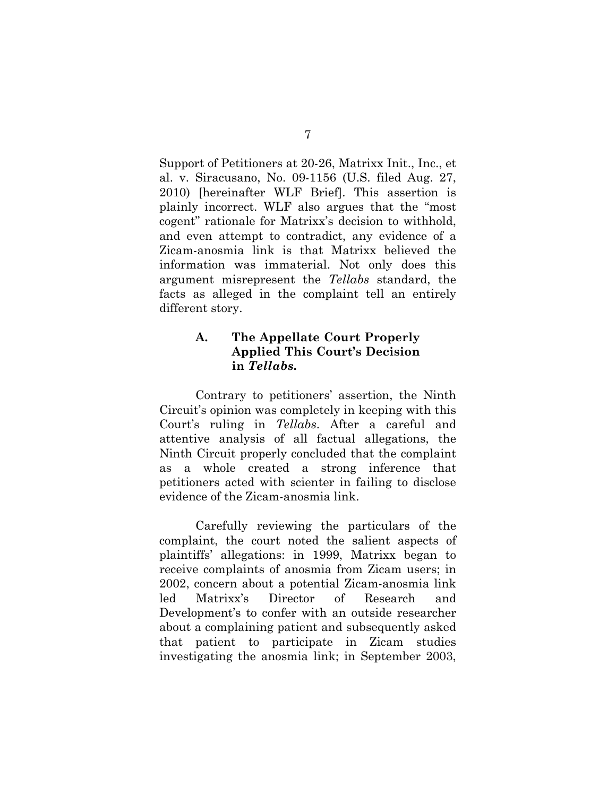Support of Petitioners at 20-26, Matrixx Init., Inc., et al. v. Siracusano, No. 09-1156 (U.S. filed Aug. 27, 2010) [hereinafter WLF Brief]. This assertion is plainly incorrect. WLF also argues that the "most cogent" rationale for Matrixx's decision to withhold, and even attempt to contradict, any evidence of a Zicam-anosmia link is that Matrixx believed the information was immaterial. Not only does this argument misrepresent the *Tellabs* standard, the facts as alleged in the complaint tell an entirely different story.

### **A. The Appellate Court Properly Applied This Court's Decision in** *Tellabs***.**

Contrary to petitioners' assertion, the Ninth Circuit's opinion was completely in keeping with this Court's ruling in *Tellabs*. After a careful and attentive analysis of all factual allegations, the Ninth Circuit properly concluded that the complaint as a whole created a strong inference that petitioners acted with scienter in failing to disclose evidence of the Zicam-anosmia link.

Carefully reviewing the particulars of the complaint, the court noted the salient aspects of plaintiffs' allegations: in 1999, Matrixx began to receive complaints of anosmia from Zicam users; in 2002, concern about a potential Zicam-anosmia link led Matrixx's Director of Research and Development's to confer with an outside researcher about a complaining patient and subsequently asked that patient to participate in Zicam studies investigating the anosmia link; in September 2003,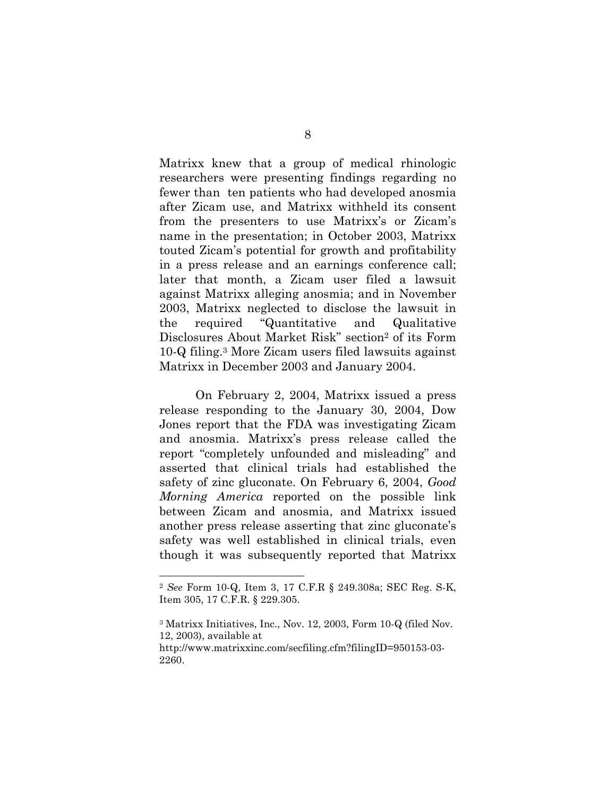Matrixx knew that a group of medical rhinologic researchers were presenting findings regarding no fewer than ten patients who had developed anosmia after Zicam use, and Matrixx withheld its consent from the presenters to use Matrixx's or Zicam's name in the presentation; in October 2003, Matrixx touted Zicam's potential for growth and profitability in a press release and an earnings conference call; later that month, a Zicam user filed a lawsuit against Matrixx alleging anosmia; and in November 2003, Matrixx neglected to disclose the lawsuit in the required "Quantitative and Qualitative Disclosures About Market Risk" section2 of its Form 10-Q filing.3 More Zicam users filed lawsuits against Matrixx in December 2003 and January 2004.

On February 2, 2004, Matrixx issued a press release responding to the January 30, 2004, Dow Jones report that the FDA was investigating Zicam and anosmia. Matrixx's press release called the report "completely unfounded and misleading" and asserted that clinical trials had established the safety of zinc gluconate. On February 6, 2004, *Good Morning America* reported on the possible link between Zicam and anosmia, and Matrixx issued another press release asserting that zinc gluconate's safety was well established in clinical trials, even though it was subsequently reported that Matrixx

 $\overline{a}$ 

<sup>2</sup> *See* Form 10-Q, Item 3, 17 C.F.R § 249.308a; SEC Reg. S-K, Item 305, 17 C.F.R. § 229.305.

<sup>3</sup> Matrixx Initiatives, Inc., Nov. 12, 2003, Form 10-Q (filed Nov. 12, 2003), available at

http://www.matrixxinc.com/secfiling.cfm?filingID=950153-03- 2260.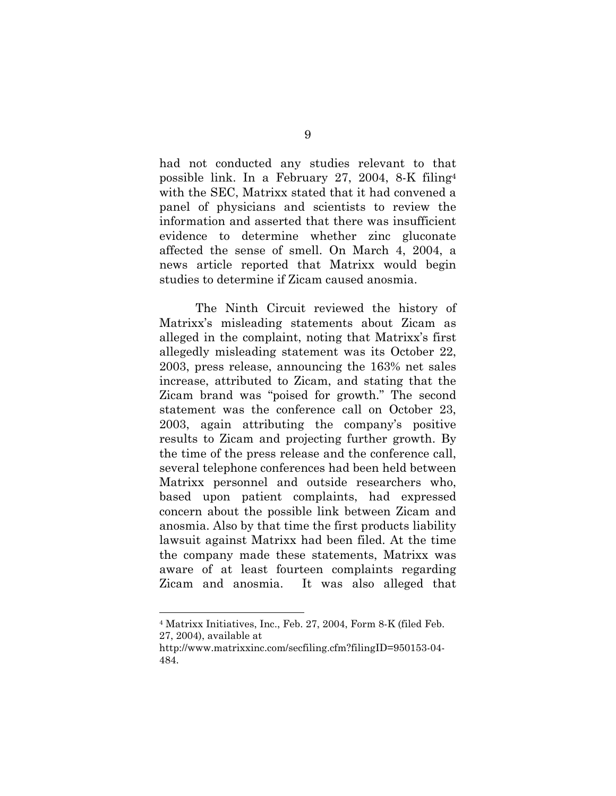had not conducted any studies relevant to that possible link. In a February 27, 2004, 8-K filing4 with the SEC, Matrixx stated that it had convened a panel of physicians and scientists to review the information and asserted that there was insufficient evidence to determine whether zinc gluconate affected the sense of smell. On March 4, 2004, a news article reported that Matrixx would begin studies to determine if Zicam caused anosmia.

The Ninth Circuit reviewed the history of Matrixx's misleading statements about Zicam as alleged in the complaint, noting that Matrixx's first allegedly misleading statement was its October 22, 2003, press release, announcing the 163% net sales increase, attributed to Zicam, and stating that the Zicam brand was "poised for growth." The second statement was the conference call on October 23, 2003, again attributing the company's positive results to Zicam and projecting further growth. By the time of the press release and the conference call, several telephone conferences had been held between Matrixx personnel and outside researchers who, based upon patient complaints, had expressed concern about the possible link between Zicam and anosmia. Also by that time the first products liability lawsuit against Matrixx had been filed. At the time the company made these statements, Matrixx was aware of at least fourteen complaints regarding Zicam and anosmia. It was also alleged that

 $\overline{a}$ 

<sup>4</sup> Matrixx Initiatives, Inc., Feb. 27, 2004, Form 8-K (filed Feb. 27, 2004), available at

http://www.matrixxinc.com/secfiling.cfm?filingID=950153-04- 484.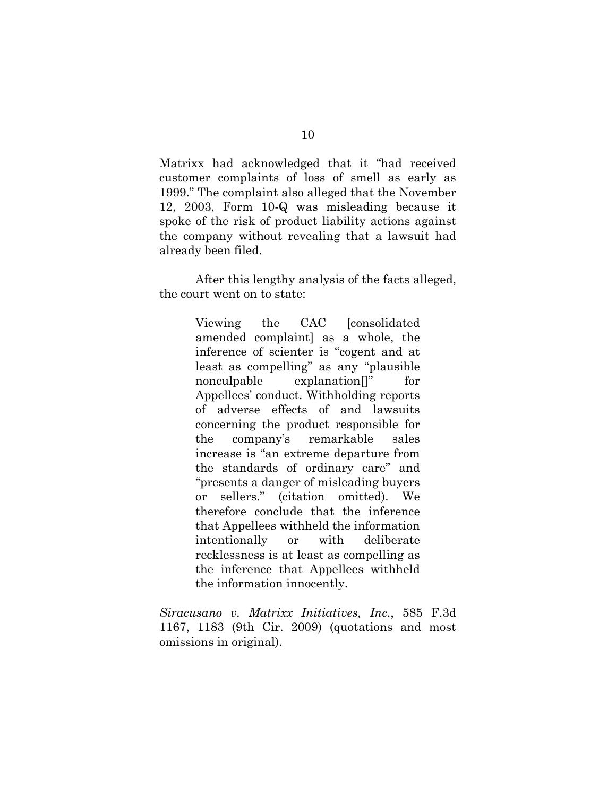Matrixx had acknowledged that it "had received customer complaints of loss of smell as early as 1999." The complaint also alleged that the November 12, 2003, Form 10-Q was misleading because it spoke of the risk of product liability actions against the company without revealing that a lawsuit had already been filed.

After this lengthy analysis of the facts alleged, the court went on to state:

> Viewing the CAC [consolidated amended complaint] as a whole, the inference of scienter is "cogent and at least as compelling" as any "plausible nonculpable explanation[]" for Appellees' conduct. Withholding reports of adverse effects of and lawsuits concerning the product responsible for the company's remarkable sales increase is "an extreme departure from the standards of ordinary care" and "presents a danger of misleading buyers or sellers." (citation omitted). We therefore conclude that the inference that Appellees withheld the information intentionally or with deliberate recklessness is at least as compelling as the inference that Appellees withheld the information innocently.

*Siracusano v. Matrixx Initiatives, Inc.*, 585 F.3d 1167, 1183 (9th Cir. 2009) (quotations and most omissions in original).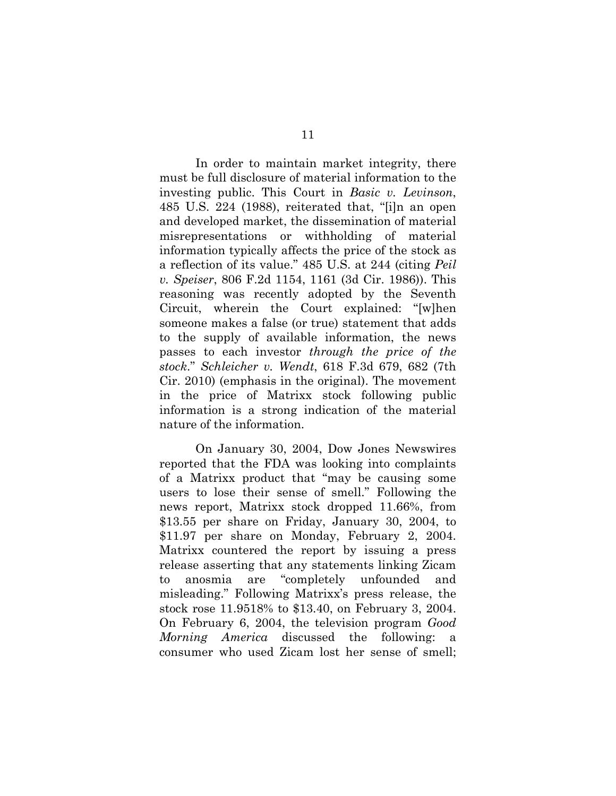In order to maintain market integrity, there must be full disclosure of material information to the investing public. This Court in *Basic v. Levinson*, 485 U.S. 224 (1988), reiterated that, "[i]n an open and developed market, the dissemination of material misrepresentations or withholding of material information typically affects the price of the stock as a reflection of its value." 485 U.S. at 244 (citing *Peil v. Speiser*, 806 F.2d 1154, 1161 (3d Cir. 1986)). This reasoning was recently adopted by the Seventh Circuit, wherein the Court explained: "[w]hen someone makes a false (or true) statement that adds to the supply of available information, the news passes to each investor *through the price of the stock*." *Schleicher v. Wendt*, 618 F.3d 679, 682 (7th Cir. 2010) (emphasis in the original). The movement in the price of Matrixx stock following public information is a strong indication of the material nature of the information.

On January 30, 2004, Dow Jones Newswires reported that the FDA was looking into complaints of a Matrixx product that "may be causing some users to lose their sense of smell." Following the news report, Matrixx stock dropped 11.66%, from \$13.55 per share on Friday, January 30, 2004, to \$11.97 per share on Monday, February 2, 2004. Matrixx countered the report by issuing a press release asserting that any statements linking Zicam to anosmia are "completely unfounded and misleading." Following Matrixx's press release, the stock rose 11.9518% to \$13.40, on February 3, 2004. On February 6, 2004, the television program *Good Morning America* discussed the following: a consumer who used Zicam lost her sense of smell;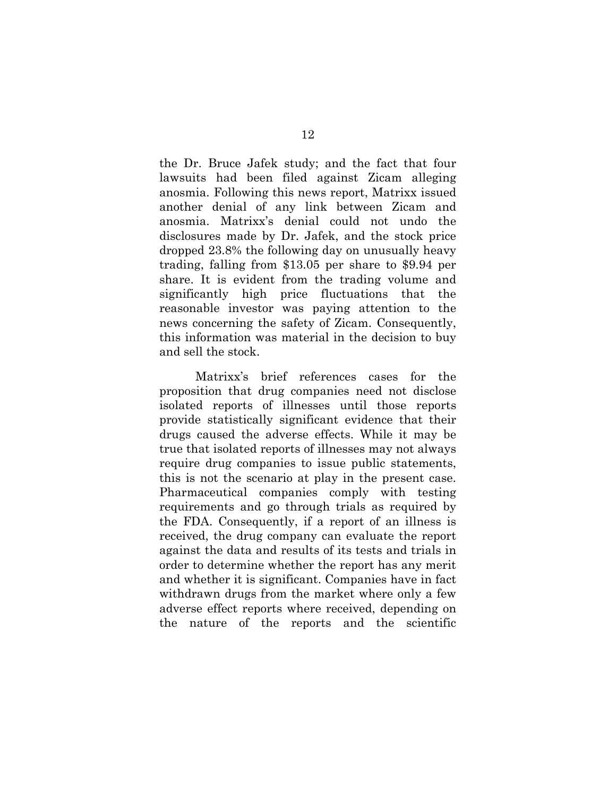the Dr. Bruce Jafek study; and the fact that four lawsuits had been filed against Zicam alleging anosmia. Following this news report, Matrixx issued another denial of any link between Zicam and anosmia. Matrixx's denial could not undo the disclosures made by Dr. Jafek, and the stock price dropped 23.8% the following day on unusually heavy trading, falling from \$13.05 per share to \$9.94 per share. It is evident from the trading volume and significantly high price fluctuations that the reasonable investor was paying attention to the news concerning the safety of Zicam. Consequently, this information was material in the decision to buy and sell the stock.

Matrixx's brief references cases for the proposition that drug companies need not disclose isolated reports of illnesses until those reports provide statistically significant evidence that their drugs caused the adverse effects. While it may be true that isolated reports of illnesses may not always require drug companies to issue public statements, this is not the scenario at play in the present case. Pharmaceutical companies comply with testing requirements and go through trials as required by the FDA. Consequently, if a report of an illness is received, the drug company can evaluate the report against the data and results of its tests and trials in order to determine whether the report has any merit and whether it is significant. Companies have in fact withdrawn drugs from the market where only a few adverse effect reports where received, depending on the nature of the reports and the scientific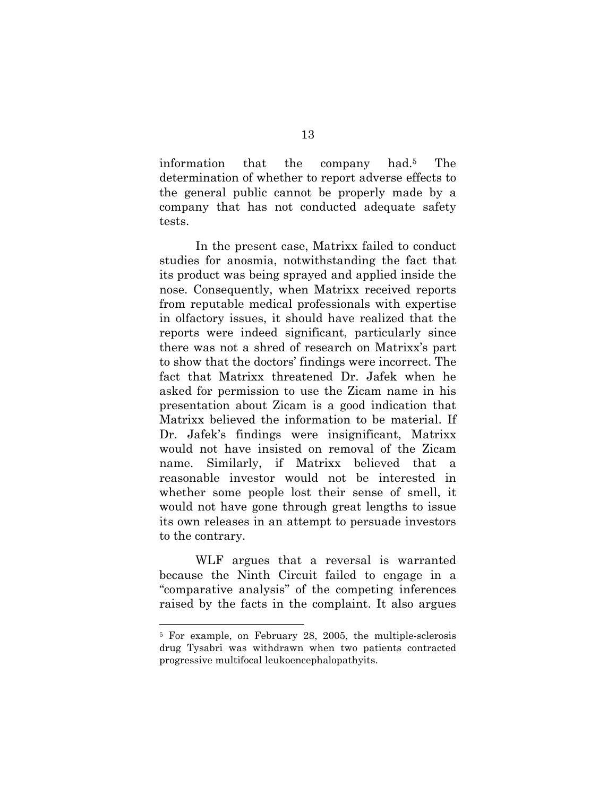information that the company had.5 The determination of whether to report adverse effects to the general public cannot be properly made by a company that has not conducted adequate safety tests.

In the present case, Matrixx failed to conduct studies for anosmia, notwithstanding the fact that its product was being sprayed and applied inside the nose. Consequently, when Matrixx received reports from reputable medical professionals with expertise in olfactory issues, it should have realized that the reports were indeed significant, particularly since there was not a shred of research on Matrixx's part to show that the doctors' findings were incorrect. The fact that Matrixx threatened Dr. Jafek when he asked for permission to use the Zicam name in his presentation about Zicam is a good indication that Matrixx believed the information to be material. If Dr. Jafek's findings were insignificant, Matrixx would not have insisted on removal of the Zicam name. Similarly, if Matrixx believed that a reasonable investor would not be interested in whether some people lost their sense of smell, it would not have gone through great lengths to issue its own releases in an attempt to persuade investors to the contrary.

WLF argues that a reversal is warranted because the Ninth Circuit failed to engage in a "comparative analysis" of the competing inferences raised by the facts in the complaint. It also argues

 $\overline{a}$ 

<sup>5</sup> For example, on February 28, 2005, the multiple-sclerosis drug Tysabri was withdrawn when two patients contracted progressive multifocal leukoencephalopathyits.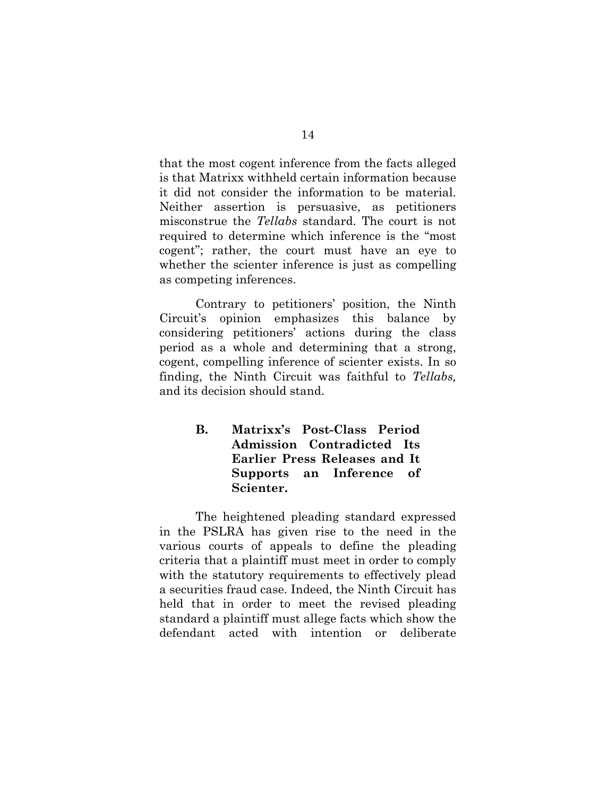that the most cogent inference from the facts alleged is that Matrixx withheld certain information because it did not consider the information to be material. Neither assertion is persuasive, as petitioners misconstrue the *Tellabs* standard. The court is not required to determine which inference is the "most cogent"; rather, the court must have an eye to whether the scienter inference is just as compelling as competing inferences.

Contrary to petitioners' position, the Ninth Circuit's opinion emphasizes this balance by considering petitioners' actions during the class period as a whole and determining that a strong, cogent, compelling inference of scienter exists. In so finding, the Ninth Circuit was faithful to *Tellabs,* and its decision should stand.

> **B. Matrixx's Post-Class Period Admission Contradicted Its Earlier Press Releases and It Supports an Inference of Scienter.**

The heightened pleading standard expressed in the PSLRA has given rise to the need in the various courts of appeals to define the pleading criteria that a plaintiff must meet in order to comply with the statutory requirements to effectively plead a securities fraud case. Indeed, the Ninth Circuit has held that in order to meet the revised pleading standard a plaintiff must allege facts which show the defendant acted with intention or deliberate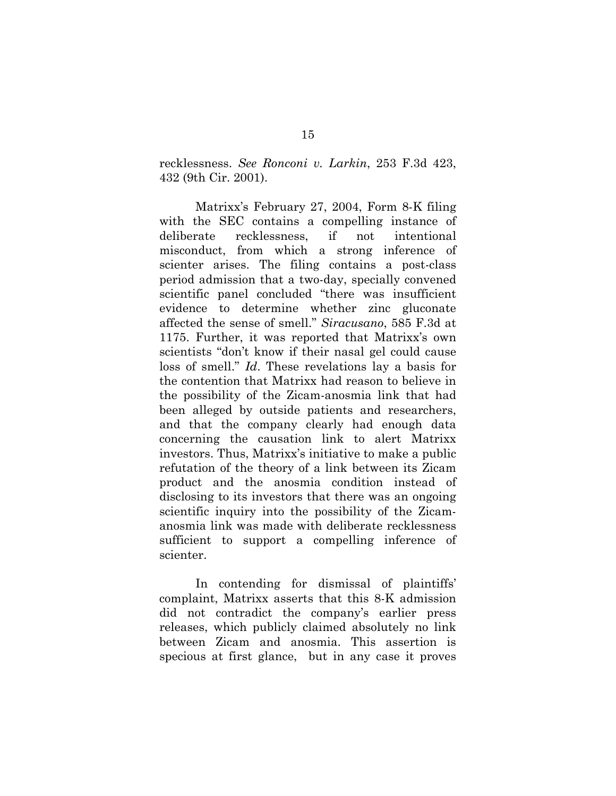recklessness. *See Ronconi v. Larkin*, 253 F.3d 423, 432 (9th Cir. 2001).

Matrixx's February 27, 2004, Form 8-K filing with the SEC contains a compelling instance of deliberate recklessness, if not intentional misconduct, from which a strong inference of scienter arises. The filing contains a post-class period admission that a two-day, specially convened scientific panel concluded "there was insufficient evidence to determine whether zinc gluconate affected the sense of smell." *Siracusano*, 585 F.3d at 1175. Further, it was reported that Matrixx's own scientists "don't know if their nasal gel could cause loss of smell." *Id*. These revelations lay a basis for the contention that Matrixx had reason to believe in the possibility of the Zicam-anosmia link that had been alleged by outside patients and researchers, and that the company clearly had enough data concerning the causation link to alert Matrixx investors. Thus, Matrixx's initiative to make a public refutation of the theory of a link between its Zicam product and the anosmia condition instead of disclosing to its investors that there was an ongoing scientific inquiry into the possibility of the Zicamanosmia link was made with deliberate recklessness sufficient to support a compelling inference of scienter.

In contending for dismissal of plaintiffs' complaint, Matrixx asserts that this 8-K admission did not contradict the company's earlier press releases, which publicly claimed absolutely no link between Zicam and anosmia. This assertion is specious at first glance, but in any case it proves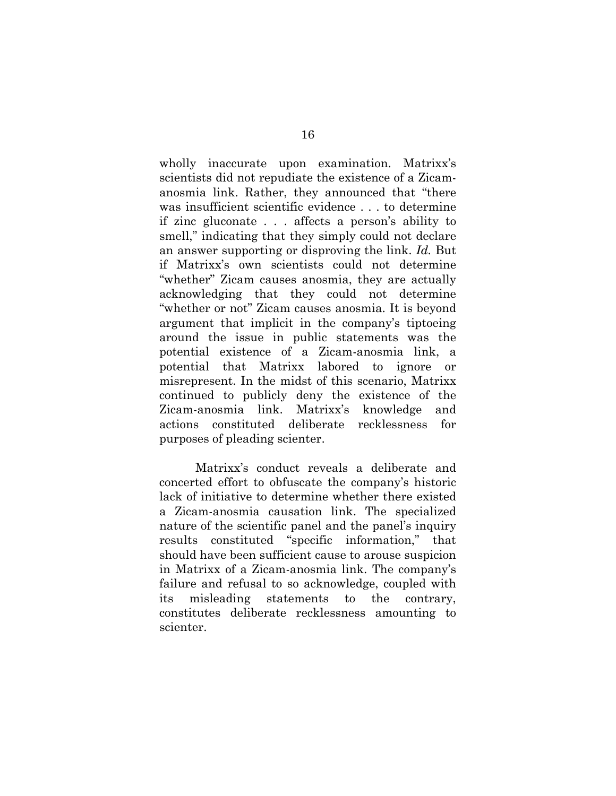wholly inaccurate upon examination. Matrixx's scientists did not repudiate the existence of a Zicamanosmia link. Rather, they announced that "there was insufficient scientific evidence . . . to determine if zinc gluconate . . . affects a person's ability to smell," indicating that they simply could not declare an answer supporting or disproving the link. *Id.* But if Matrixx's own scientists could not determine "whether" Zicam causes anosmia, they are actually acknowledging that they could not determine "whether or not" Zicam causes anosmia. It is beyond argument that implicit in the company's tiptoeing around the issue in public statements was the potential existence of a Zicam-anosmia link, a potential that Matrixx labored to ignore or misrepresent. In the midst of this scenario, Matrixx continued to publicly deny the existence of the Zicam-anosmia link. Matrixx's knowledge and actions constituted deliberate recklessness for purposes of pleading scienter.

Matrixx's conduct reveals a deliberate and concerted effort to obfuscate the company's historic lack of initiative to determine whether there existed a Zicam-anosmia causation link. The specialized nature of the scientific panel and the panel's inquiry results constituted "specific information," that should have been sufficient cause to arouse suspicion in Matrixx of a Zicam-anosmia link. The company's failure and refusal to so acknowledge, coupled with its misleading statements to the contrary, constitutes deliberate recklessness amounting to scienter.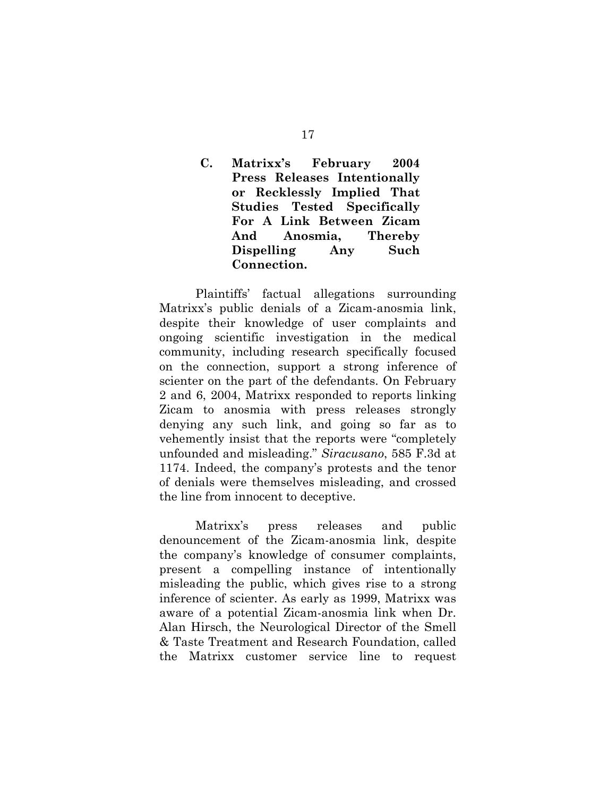# **C. Matrixx's February 2004 Press Releases Intentionally or Recklessly Implied That Studies Tested Specifically For A Link Between Zicam And Anosmia, Thereby Dispelling Any Such Connection.**

Plaintiffs' factual allegations surrounding Matrixx's public denials of a Zicam-anosmia link, despite their knowledge of user complaints and ongoing scientific investigation in the medical community, including research specifically focused on the connection, support a strong inference of scienter on the part of the defendants. On February 2 and 6, 2004, Matrixx responded to reports linking Zicam to anosmia with press releases strongly denying any such link, and going so far as to vehemently insist that the reports were "completely unfounded and misleading." *Siracusano*, 585 F.3d at 1174. Indeed, the company's protests and the tenor of denials were themselves misleading, and crossed the line from innocent to deceptive.

Matrixx's press releases and public denouncement of the Zicam-anosmia link, despite the company's knowledge of consumer complaints, present a compelling instance of intentionally misleading the public, which gives rise to a strong inference of scienter. As early as 1999, Matrixx was aware of a potential Zicam-anosmia link when Dr. Alan Hirsch, the Neurological Director of the Smell & Taste Treatment and Research Foundation, called the Matrixx customer service line to request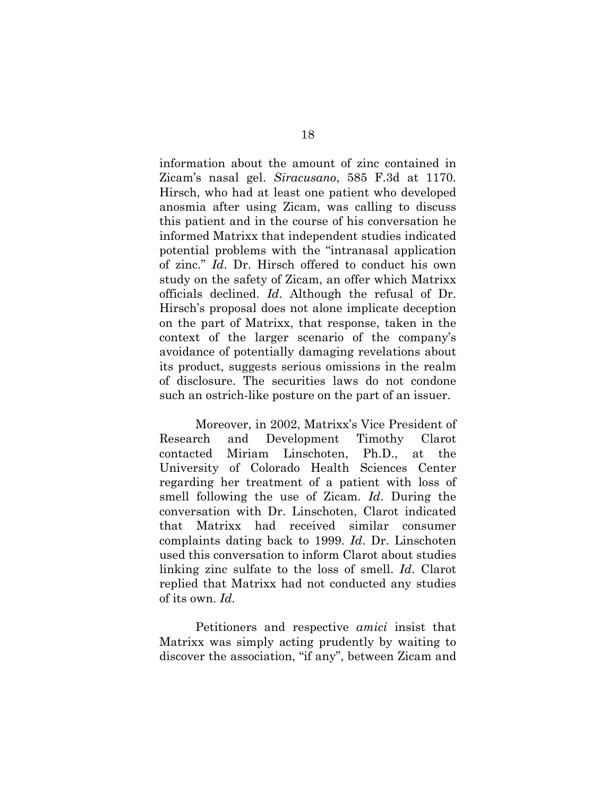information about the amount of zinc contained in Zicam's nasal gel. *Siracusano*, 585 F.3d at 1170. Hirsch, who had at least one patient who developed anosmia after using Zicam, was calling to discuss this patient and in the course of his conversation he informed Matrixx that independent studies indicated potential problems with the "intranasal application of zinc." *Id*. Dr. Hirsch offered to conduct his own study on the safety of Zicam, an offer which Matrixx officials declined. *Id*. Although the refusal of Dr. Hirsch's proposal does not alone implicate deception on the part of Matrixx, that response, taken in the context of the larger scenario of the company's avoidance of potentially damaging revelations about its product, suggests serious omissions in the realm of disclosure. The securities laws do not condone such an ostrich-like posture on the part of an issuer.

Moreover, in 2002, Matrixx's Vice President of Research and Development Timothy Clarot contacted Miriam Linschoten, Ph.D., at the University of Colorado Health Sciences Center regarding her treatment of a patient with loss of smell following the use of Zicam. *Id*. During the conversation with Dr. Linschoten, Clarot indicated that Matrixx had received similar consumer complaints dating back to 1999. *Id*. Dr. Linschoten used this conversation to inform Clarot about studies linking zinc sulfate to the loss of smell. *Id*. Clarot replied that Matrixx had not conducted any studies of its own. *Id*.

Petitioners and respective *amici* insist that Matrixx was simply acting prudently by waiting to discover the association, "if any", between Zicam and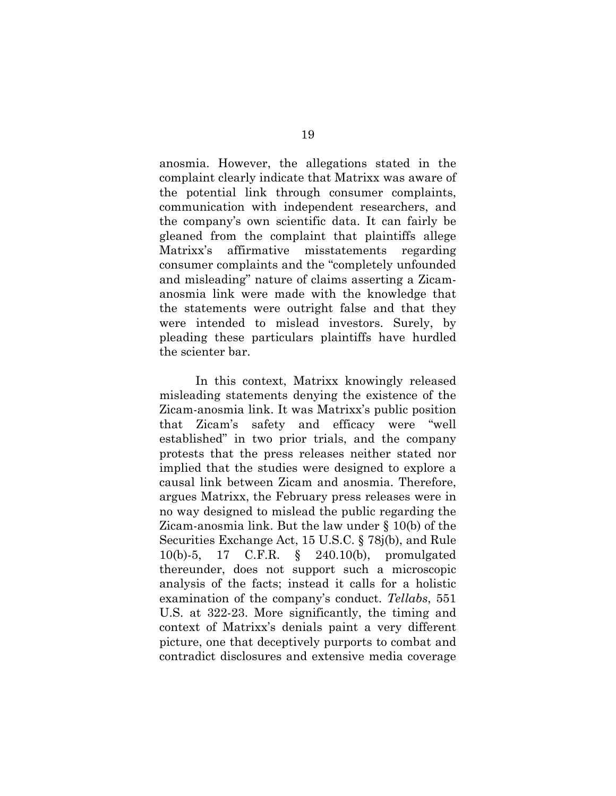anosmia. However, the allegations stated in the complaint clearly indicate that Matrixx was aware of the potential link through consumer complaints, communication with independent researchers, and the company's own scientific data. It can fairly be gleaned from the complaint that plaintiffs allege Matrixx's affirmative misstatements regarding consumer complaints and the "completely unfounded and misleading" nature of claims asserting a Zicamanosmia link were made with the knowledge that the statements were outright false and that they were intended to mislead investors. Surely, by pleading these particulars plaintiffs have hurdled the scienter bar.

In this context, Matrixx knowingly released misleading statements denying the existence of the Zicam-anosmia link. It was Matrixx's public position that Zicam's safety and efficacy were "well established" in two prior trials, and the company protests that the press releases neither stated nor implied that the studies were designed to explore a causal link between Zicam and anosmia. Therefore, argues Matrixx, the February press releases were in no way designed to mislead the public regarding the Zicam-anosmia link. But the law under § 10(b) of the Securities Exchange Act, 15 U.S.C. § 78j(b), and Rule 10(b)-5, 17 C.F.R. § 240.10(b), promulgated thereunder, does not support such a microscopic analysis of the facts; instead it calls for a holistic examination of the company's conduct. *Tellabs*, 551 U.S. at 322-23. More significantly, the timing and context of Matrixx's denials paint a very different picture, one that deceptively purports to combat and contradict disclosures and extensive media coverage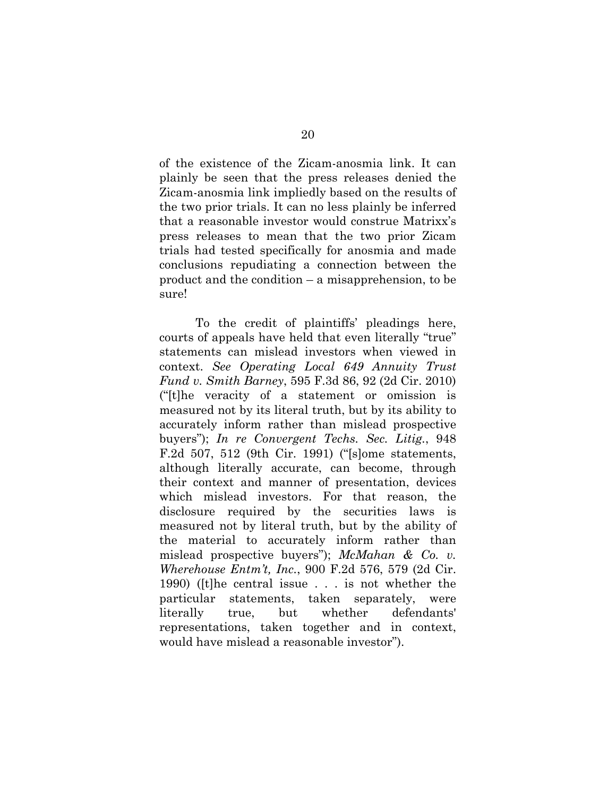of the existence of the Zicam-anosmia link. It can plainly be seen that the press releases denied the Zicam-anosmia link impliedly based on the results of the two prior trials. It can no less plainly be inferred that a reasonable investor would construe Matrixx's press releases to mean that the two prior Zicam trials had tested specifically for anosmia and made conclusions repudiating a connection between the product and the condition – a misapprehension, to be sure!

To the credit of plaintiffs' pleadings here, courts of appeals have held that even literally "true" statements can mislead investors when viewed in context. *See Operating Local 649 Annuity Trust Fund v. Smith Barney*, 595 F.3d 86, 92 (2d Cir. 2010) ("[t]he veracity of a statement or omission is measured not by its literal truth, but by its ability to accurately inform rather than mislead prospective buyers"); *In re Convergent Techs. Sec. Litig.*, 948 F.2d 507, 512 (9th Cir. 1991) ("[s]ome statements, although literally accurate, can become, through their context and manner of presentation, devices which mislead investors. For that reason, the disclosure required by the securities laws is measured not by literal truth, but by the ability of the material to accurately inform rather than mislead prospective buyers"); *McMahan & Co. v. Wherehouse Entm't, Inc.*, 900 F.2d 576, 579 (2d Cir. 1990) ([t]he central issue . . . is not whether the particular statements, taken separately, were literally true, but whether defendants' representations, taken together and in context, would have mislead a reasonable investor").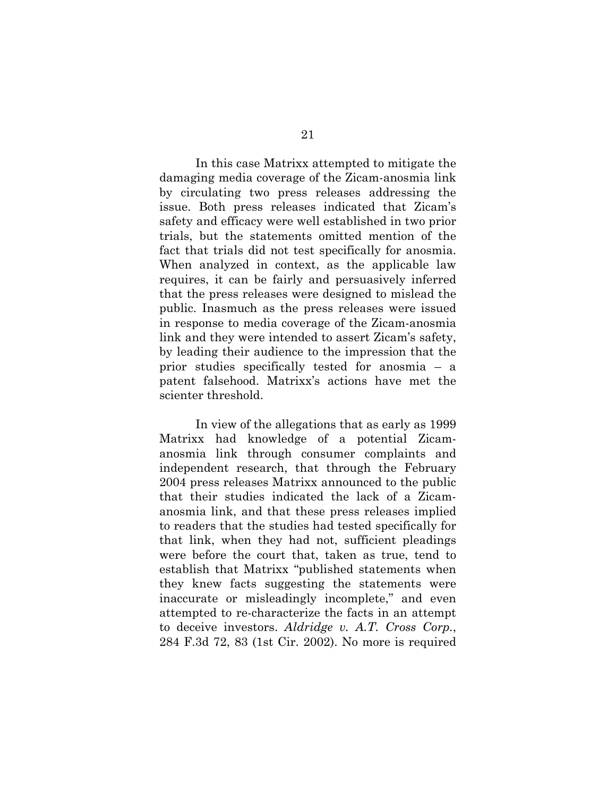In this case Matrixx attempted to mitigate the damaging media coverage of the Zicam-anosmia link by circulating two press releases addressing the issue. Both press releases indicated that Zicam's safety and efficacy were well established in two prior trials, but the statements omitted mention of the fact that trials did not test specifically for anosmia. When analyzed in context, as the applicable law requires, it can be fairly and persuasively inferred that the press releases were designed to mislead the public. Inasmuch as the press releases were issued in response to media coverage of the Zicam-anosmia link and they were intended to assert Zicam's safety, by leading their audience to the impression that the prior studies specifically tested for anosmia – a patent falsehood. Matrixx's actions have met the scienter threshold.

In view of the allegations that as early as 1999 Matrixx had knowledge of a potential Zicamanosmia link through consumer complaints and independent research, that through the February 2004 press releases Matrixx announced to the public that their studies indicated the lack of a Zicamanosmia link, and that these press releases implied to readers that the studies had tested specifically for that link, when they had not, sufficient pleadings were before the court that, taken as true, tend to establish that Matrixx "published statements when they knew facts suggesting the statements were inaccurate or misleadingly incomplete," and even attempted to re-characterize the facts in an attempt to deceive investors. *Aldridge v. A.T. Cross Corp.*, 284 F.3d 72, 83 (1st Cir. 2002). No more is required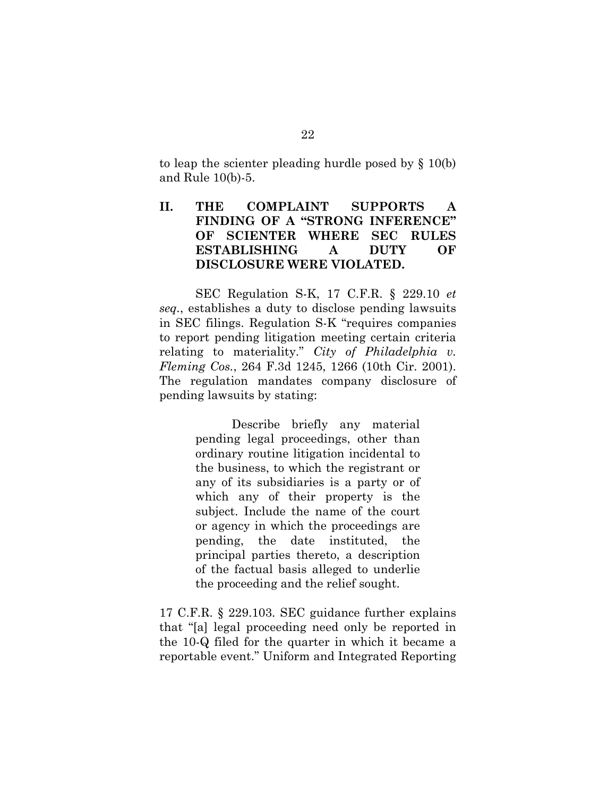to leap the scienter pleading hurdle posed by § 10(b) and Rule 10(b)-5.

# **II. THE COMPLAINT SUPPORTS A FINDING OF A "STRONG INFERENCE" OF SCIENTER WHERE SEC RULES ESTABLISHING A DUTY OF DISCLOSURE WERE VIOLATED.**

SEC Regulation S-K, 17 C.F.R. § 229.10 *et seq.*, establishes a duty to disclose pending lawsuits in SEC filings. Regulation S-K "requires companies to report pending litigation meeting certain criteria relating to materiality." *City of Philadelphia v. Fleming Cos.*, 264 F.3d 1245, 1266 (10th Cir. 2001). The regulation mandates company disclosure of pending lawsuits by stating:

> Describe briefly any material pending legal proceedings, other than ordinary routine litigation incidental to the business, to which the registrant or any of its subsidiaries is a party or of which any of their property is the subject. Include the name of the court or agency in which the proceedings are pending, the date instituted, the principal parties thereto, a description of the factual basis alleged to underlie the proceeding and the relief sought.

17 C.F.R. § 229.103. SEC guidance further explains that "[a] legal proceeding need only be reported in the 10-Q filed for the quarter in which it became a reportable event." Uniform and Integrated Reporting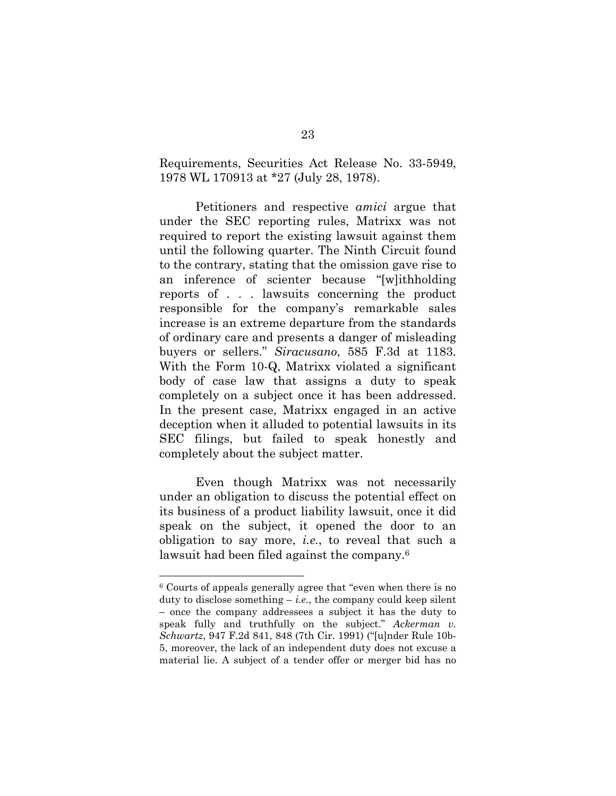Requirements, Securities Act Release No. 33-5949, 1978 WL 170913 at \*27 (July 28, 1978).

Petitioners and respective *amici* argue that under the SEC reporting rules, Matrixx was not required to report the existing lawsuit against them until the following quarter. The Ninth Circuit found to the contrary, stating that the omission gave rise to an inference of scienter because "[w]ithholding reports of . . . lawsuits concerning the product responsible for the company's remarkable sales increase is an extreme departure from the standards of ordinary care and presents a danger of misleading buyers or sellers." *Siracusano*, 585 F.3d at 1183. With the Form 10-Q, Matrixx violated a significant body of case law that assigns a duty to speak completely on a subject once it has been addressed. In the present case, Matrixx engaged in an active deception when it alluded to potential lawsuits in its SEC filings, but failed to speak honestly and completely about the subject matter.

Even though Matrixx was not necessarily under an obligation to discuss the potential effect on its business of a product liability lawsuit, once it did speak on the subject, it opened the door to an obligation to say more, *i.e.*, to reveal that such a lawsuit had been filed against the company.6

<sup>6</sup> Courts of appeals generally agree that "even when there is no duty to disclose something  $-i.e.,$  the company could keep silent – once the company addressees a subject it has the duty to speak fully and truthfully on the subject." *Ackerman v. Schwartz*, 947 F.2d 841, 848 (7th Cir. 1991) ("[u]nder Rule 10b-5, moreover, the lack of an independent duty does not excuse a material lie. A subject of a tender offer or merger bid has no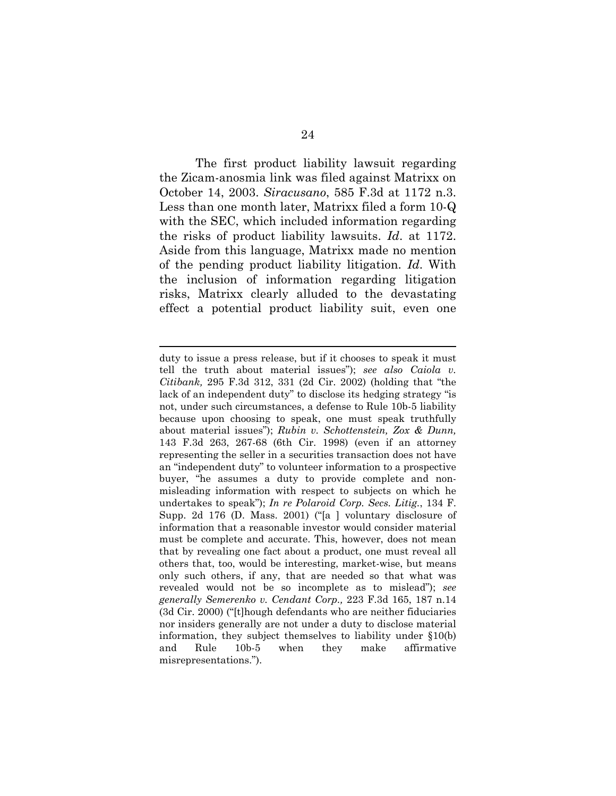The first product liability lawsuit regarding the Zicam-anosmia link was filed against Matrixx on October 14, 2003. *Siracusano*, 585 F.3d at 1172 n.3. Less than one month later, Matrixx filed a form 10-Q with the SEC, which included information regarding the risks of product liability lawsuits. *Id*. at 1172. Aside from this language, Matrixx made no mention of the pending product liability litigation. *Id*. With the inclusion of information regarding litigation risks, Matrixx clearly alluded to the devastating effect a potential product liability suit, even one

duty to issue a press release, but if it chooses to speak it must tell the truth about material issues"); *see also Caiola v. Citibank,* 295 F.3d 312, 331 (2d Cir. 2002) (holding that "the lack of an independent duty" to disclose its hedging strategy "is not, under such circumstances, a defense to Rule 10b-5 liability because upon choosing to speak, one must speak truthfully about material issues"); *Rubin v. Schottenstein, Zox & Dunn,* 143 F.3d 263, 267-68 (6th Cir. 1998) (even if an attorney representing the seller in a securities transaction does not have an "independent duty" to volunteer information to a prospective buyer, "he assumes a duty to provide complete and nonmisleading information with respect to subjects on which he undertakes to speak"); *In re Polaroid Corp. Secs. Litig.*, 134 F. Supp. 2d 176 (D. Mass. 2001) ("[a ] voluntary disclosure of information that a reasonable investor would consider material must be complete and accurate. This, however, does not mean that by revealing one fact about a product, one must reveal all others that, too, would be interesting, market-wise, but means only such others, if any, that are needed so that what was revealed would not be so incomplete as to mislead"); *see generally Semerenko v. Cendant Corp.,* 223 F.3d 165, 187 n.14 (3d Cir. 2000) ("[t]hough defendants who are neither fiduciaries nor insiders generally are not under a duty to disclose material information, they subject themselves to liability under §10(b) and Rule 10b-5 when they make affirmative misrepresentations.").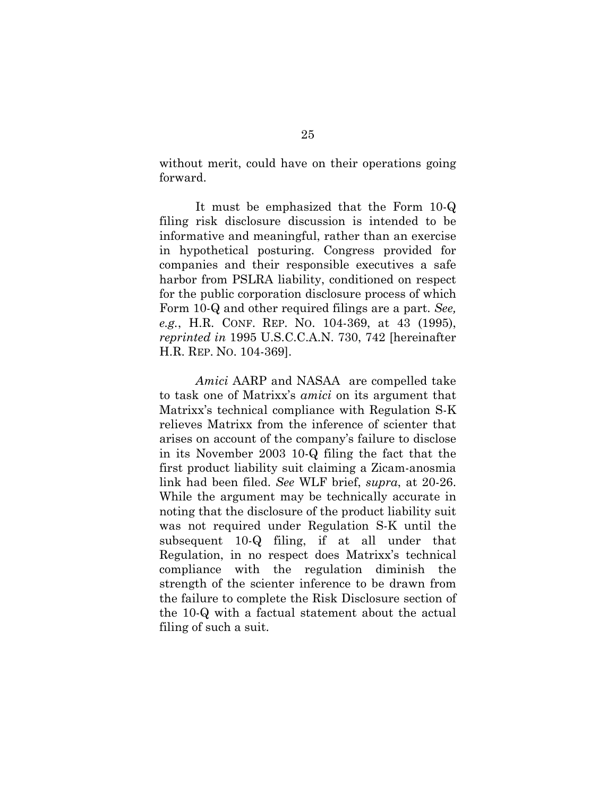without merit, could have on their operations going forward.

It must be emphasized that the Form 10-Q filing risk disclosure discussion is intended to be informative and meaningful, rather than an exercise in hypothetical posturing. Congress provided for companies and their responsible executives a safe harbor from PSLRA liability, conditioned on respect for the public corporation disclosure process of which Form 10-Q and other required filings are a part. *See, e.g.*, H.R. CONF. REP. NO. 104-369, at 43 (1995), *reprinted in* 1995 U.S.C.C.A.N. 730, 742 [hereinafter H.R. REP. NO. 104-369].

*Amici* AARP and NASAA are compelled take to task one of Matrixx's *amici* on its argument that Matrixx's technical compliance with Regulation S-K relieves Matrixx from the inference of scienter that arises on account of the company's failure to disclose in its November 2003 10-Q filing the fact that the first product liability suit claiming a Zicam-anosmia link had been filed. *See* WLF brief, *supra*, at 20-26. While the argument may be technically accurate in noting that the disclosure of the product liability suit was not required under Regulation S-K until the subsequent 10-Q filing, if at all under that Regulation, in no respect does Matrixx's technical compliance with the regulation diminish the strength of the scienter inference to be drawn from the failure to complete the Risk Disclosure section of the 10-Q with a factual statement about the actual filing of such a suit.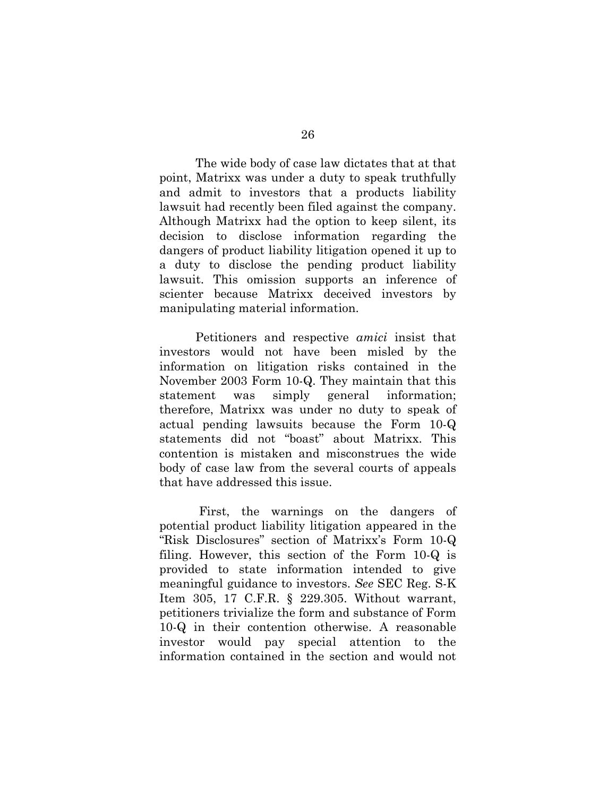The wide body of case law dictates that at that point, Matrixx was under a duty to speak truthfully and admit to investors that a products liability lawsuit had recently been filed against the company. Although Matrixx had the option to keep silent, its decision to disclose information regarding the dangers of product liability litigation opened it up to a duty to disclose the pending product liability lawsuit. This omission supports an inference of scienter because Matrixx deceived investors by manipulating material information.

Petitioners and respective *amici* insist that investors would not have been misled by the information on litigation risks contained in the November 2003 Form 10-Q. They maintain that this statement was simply general information; therefore, Matrixx was under no duty to speak of actual pending lawsuits because the Form 10-Q statements did not "boast" about Matrixx. This contention is mistaken and misconstrues the wide body of case law from the several courts of appeals that have addressed this issue.

 First, the warnings on the dangers of potential product liability litigation appeared in the "Risk Disclosures" section of Matrixx's Form 10-Q filing. However, this section of the Form 10-Q is provided to state information intended to give meaningful guidance to investors. *See* SEC Reg. S-K Item 305, 17 C.F.R. § 229.305. Without warrant, petitioners trivialize the form and substance of Form 10-Q in their contention otherwise. A reasonable investor would pay special attention to the information contained in the section and would not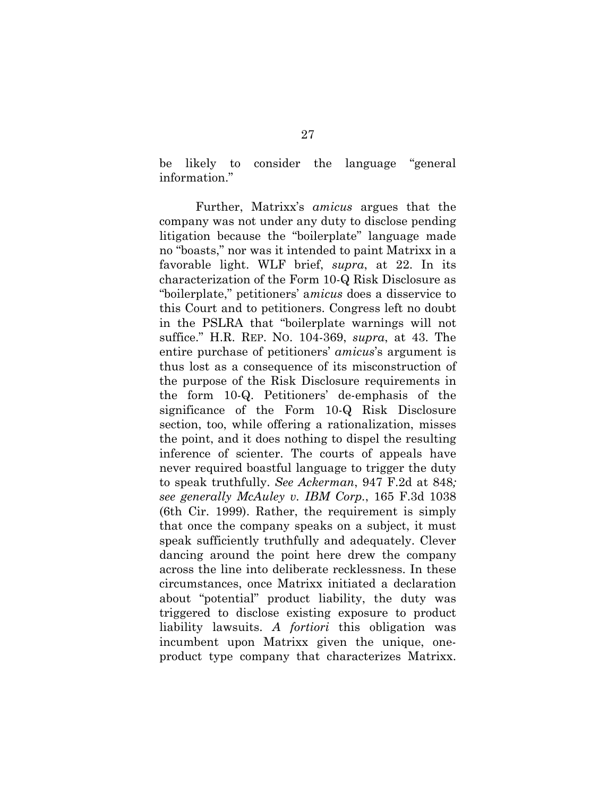be likely to consider the language "general information."

Further, Matrixx's *amicus* argues that the company was not under any duty to disclose pending litigation because the "boilerplate" language made no "boasts," nor was it intended to paint Matrixx in a favorable light. WLF brief, *supra*, at 22. In its characterization of the Form 10-Q Risk Disclosure as "boilerplate," petitioners' a*micus* does a disservice to this Court and to petitioners. Congress left no doubt in the PSLRA that "boilerplate warnings will not suffice." H.R. REP. NO. 104-369, *supra*, at 43. The entire purchase of petitioners' *amicus*'s argument is thus lost as a consequence of its misconstruction of the purpose of the Risk Disclosure requirements in the form 10-Q. Petitioners' de-emphasis of the significance of the Form 10-Q Risk Disclosure section, too, while offering a rationalization, misses the point, and it does nothing to dispel the resulting inference of scienter. The courts of appeals have never required boastful language to trigger the duty to speak truthfully. *See Ackerman*, 947 F.2d at 848*; see generally McAuley v. IBM Corp.*, 165 F.3d 1038 (6th Cir. 1999). Rather, the requirement is simply that once the company speaks on a subject, it must speak sufficiently truthfully and adequately. Clever dancing around the point here drew the company across the line into deliberate recklessness. In these circumstances, once Matrixx initiated a declaration about "potential" product liability, the duty was triggered to disclose existing exposure to product liability lawsuits. *A fortiori* this obligation was incumbent upon Matrixx given the unique, oneproduct type company that characterizes Matrixx.